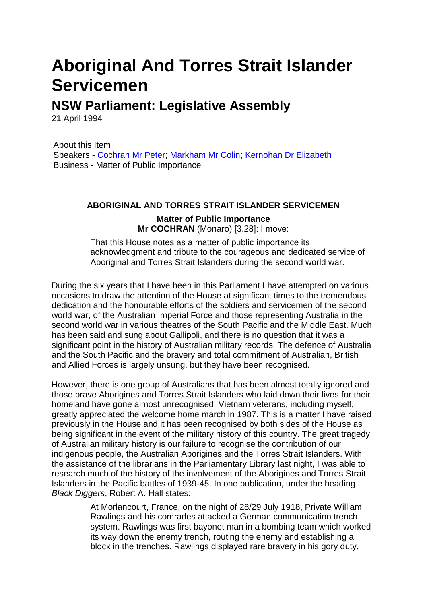# **Aboriginal And Torres Strait Islander Servicemen**

# **NSW Parliament: Legislative Assembly**

21 April 1994

About this Item Speakers - [Cochran Mr Peter;](file:///C:/web/20080516120855/http:/www.parliament.nsw.gov.au/prod/parlment/hansart.nsf/V3HHBSpeaker%3fOpen&vwCat=Cochran,%20Mr%20Peter) [Markham Mr Colin;](file:///C:/web/20080516120855/http:/www.parliament.nsw.gov.au/prod/parlment/hansart.nsf/V3HHBSpeaker%3fOpen&vwCat=Markham,%20Mr%20Colin) [Kernohan Dr Elizabeth](file:///C:/web/20080516120855/http:/www.parliament.nsw.gov.au/prod/parlment/hansart.nsf/V3HHBSpeaker%3fOpen&vwCat=Kernohan,%20Dr%20Elizabeth) Business - Matter of Public Importance

## **ABORIGINAL AND TORRES STRAIT ISLANDER SERVICEMEN**

### **Matter of Public Importance Mr COCHRAN** (Monaro) [3.28]: I move:

That this House notes as a matter of public importance its acknowledgment and tribute to the courageous and dedicated service of Aboriginal and Torres Strait Islanders during the second world war.

During the six years that I have been in this Parliament I have attempted on various occasions to draw the attention of the House at significant times to the tremendous dedication and the honourable efforts of the soldiers and servicemen of the second world war, of the Australian Imperial Force and those representing Australia in the second world war in various theatres of the South Pacific and the Middle East. Much has been said and sung about Gallipoli, and there is no question that it was a significant point in the history of Australian military records. The defence of Australia and the South Pacific and the bravery and total commitment of Australian, British and Allied Forces is largely unsung, but they have been recognised.

However, there is one group of Australians that has been almost totally ignored and those brave Aborigines and Torres Strait Islanders who laid down their lives for their homeland have gone almost unrecognised. Vietnam veterans, including myself, greatly appreciated the welcome home march in 1987. This is a matter I have raised previously in the House and it has been recognised by both sides of the House as being significant in the event of the military history of this country. The great tragedy of Australian military history is our failure to recognise the contribution of our indigenous people, the Australian Aborigines and the Torres Strait Islanders. With the assistance of the librarians in the Parliamentary Library last night, I was able to research much of the history of the involvement of the Aborigines and Torres Strait Islanders in the Pacific battles of 1939-45. In one publication, under the heading *Black Diggers*, Robert A. Hall states:

> At Morlancourt, France, on the night of 28/29 July 1918, Private William Rawlings and his comrades attacked a German communication trench system. Rawlings was first bayonet man in a bombing team which worked its way down the enemy trench, routing the enemy and establishing a block in the trenches. Rawlings displayed rare bravery in his gory duty,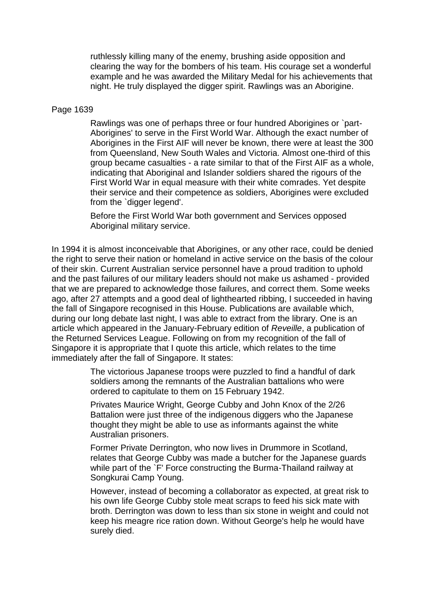ruthlessly killing many of the enemy, brushing aside opposition and clearing the way for the bombers of his team. His courage set a wonderful example and he was awarded the Military Medal for his achievements that night. He truly displayed the digger spirit. Rawlings was an Aborigine.

#### Page 1639

Rawlings was one of perhaps three or four hundred Aborigines or `part-Aborigines' to serve in the First World War. Although the exact number of Aborigines in the First AIF will never be known, there were at least the 300 from Queensland, New South Wales and Victoria. Almost one-third of this group became casualties - a rate similar to that of the First AIF as a whole, indicating that Aboriginal and Islander soldiers shared the rigours of the First World War in equal measure with their white comrades. Yet despite their service and their competence as soldiers, Aborigines were excluded from the `digger legend'.

Before the First World War both government and Services opposed Aboriginal military service.

In 1994 it is almost inconceivable that Aborigines, or any other race, could be denied the right to serve their nation or homeland in active service on the basis of the colour of their skin. Current Australian service personnel have a proud tradition to uphold and the past failures of our military leaders should not make us ashamed - provided that we are prepared to acknowledge those failures, and correct them. Some weeks ago, after 27 attempts and a good deal of lighthearted ribbing, I succeeded in having the fall of Singapore recognised in this House. Publications are available which, during our long debate last night, I was able to extract from the library. One is an article which appeared in the January-February edition of *Reveille*, a publication of the Returned Services League. Following on from my recognition of the fall of Singapore it is appropriate that I quote this article, which relates to the time immediately after the fall of Singapore. It states:

> The victorious Japanese troops were puzzled to find a handful of dark soldiers among the remnants of the Australian battalions who were ordered to capitulate to them on 15 February 1942.

> Privates Maurice Wright, George Cubby and John Knox of the 2/26 Battalion were just three of the indigenous diggers who the Japanese thought they might be able to use as informants against the white Australian prisoners.

Former Private Derrington, who now lives in Drummore in Scotland, relates that George Cubby was made a butcher for the Japanese guards while part of the `F' Force constructing the Burma-Thailand railway at Songkurai Camp Young.

However, instead of becoming a collaborator as expected, at great risk to his own life George Cubby stole meat scraps to feed his sick mate with broth. Derrington was down to less than six stone in weight and could not keep his meagre rice ration down. Without George's help he would have surely died.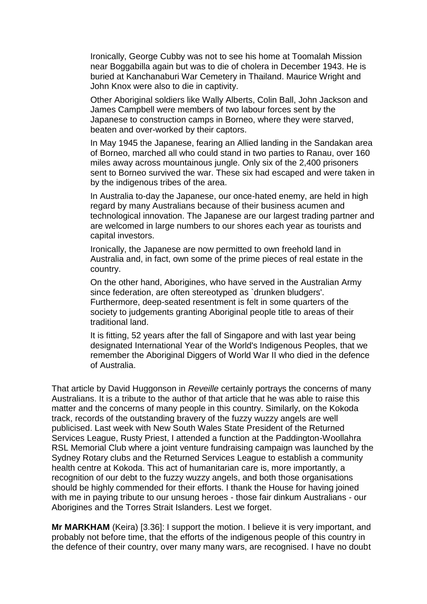Ironically, George Cubby was not to see his home at Toomalah Mission near Boggabilla again but was to die of cholera in December 1943. He is buried at Kanchanaburi War Cemetery in Thailand. Maurice Wright and John Knox were also to die in captivity.

Other Aboriginal soldiers like Wally Alberts, Colin Ball, John Jackson and James Campbell were members of two labour forces sent by the Japanese to construction camps in Borneo, where they were starved, beaten and over-worked by their captors.

In May 1945 the Japanese, fearing an Allied landing in the Sandakan area of Borneo, marched all who could stand in two parties to Ranau, over 160 miles away across mountainous jungle. Only six of the 2,400 prisoners sent to Borneo survived the war. These six had escaped and were taken in by the indigenous tribes of the area.

In Australia to-day the Japanese, our once-hated enemy, are held in high regard by many Australians because of their business acumen and technological innovation. The Japanese are our largest trading partner and are welcomed in large numbers to our shores each year as tourists and capital investors.

Ironically, the Japanese are now permitted to own freehold land in Australia and, in fact, own some of the prime pieces of real estate in the country.

On the other hand, Aborigines, who have served in the Australian Army since federation, are often stereotyped as `drunken bludgers'. Furthermore, deep-seated resentment is felt in some quarters of the society to judgements granting Aboriginal people title to areas of their traditional land.

It is fitting, 52 years after the fall of Singapore and with last year being designated International Year of the World's Indigenous Peoples, that we remember the Aboriginal Diggers of World War II who died in the defence of Australia.

That article by David Huggonson in *Reveille* certainly portrays the concerns of many Australians. It is a tribute to the author of that article that he was able to raise this matter and the concerns of many people in this country. Similarly, on the Kokoda track, records of the outstanding bravery of the fuzzy wuzzy angels are well publicised. Last week with New South Wales State President of the Returned Services League, Rusty Priest, I attended a function at the Paddington-Woollahra RSL Memorial Club where a joint venture fundraising campaign was launched by the Sydney Rotary clubs and the Returned Services League to establish a community health centre at Kokoda. This act of humanitarian care is, more importantly, a recognition of our debt to the fuzzy wuzzy angels, and both those organisations should be highly commended for their efforts. I thank the House for having joined with me in paying tribute to our unsung heroes - those fair dinkum Australians - our Aborigines and the Torres Strait Islanders. Lest we forget.

**Mr MARKHAM** (Keira) [3.36]: I support the motion. I believe it is very important, and probably not before time, that the efforts of the indigenous people of this country in the defence of their country, over many many wars, are recognised. I have no doubt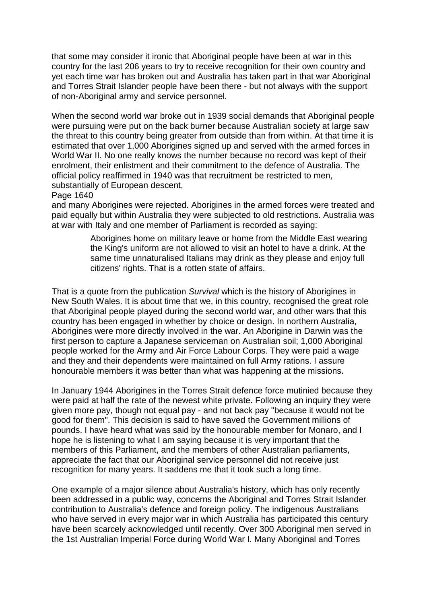that some may consider it ironic that Aboriginal people have been at war in this country for the last 206 years to try to receive recognition for their own country and yet each time war has broken out and Australia has taken part in that war Aboriginal and Torres Strait Islander people have been there - but not always with the support of non-Aboriginal army and service personnel.

When the second world war broke out in 1939 social demands that Aboriginal people were pursuing were put on the back burner because Australian society at large saw the threat to this country being greater from outside than from within. At that time it is estimated that over 1,000 Aborigines signed up and served with the armed forces in World War II. No one really knows the number because no record was kept of their enrolment, their enlistment and their commitment to the defence of Australia. The official policy reaffirmed in 1940 was that recruitment be restricted to men, substantially of European descent,

#### Page 1640

and many Aborigines were rejected. Aborigines in the armed forces were treated and paid equally but within Australia they were subjected to old restrictions. Australia was at war with Italy and one member of Parliament is recorded as saying:

> Aborigines home on military leave or home from the Middle East wearing the King's uniform are not allowed to visit an hotel to have a drink. At the same time unnaturalised Italians may drink as they please and enjoy full citizens' rights. That is a rotten state of affairs.

That is a quote from the publication *Survival* which is the history of Aborigines in New South Wales. It is about time that we, in this country, recognised the great role that Aboriginal people played during the second world war, and other wars that this country has been engaged in whether by choice or design. In northern Australia, Aborigines were more directly involved in the war. An Aborigine in Darwin was the first person to capture a Japanese serviceman on Australian soil; 1,000 Aboriginal people worked for the Army and Air Force Labour Corps. They were paid a wage and they and their dependents were maintained on full Army rations. I assure honourable members it was better than what was happening at the missions.

In January 1944 Aborigines in the Torres Strait defence force mutinied because they were paid at half the rate of the newest white private. Following an inquiry they were given more pay, though not equal pay - and not back pay "because it would not be good for them". This decision is said to have saved the Government millions of pounds. I have heard what was said by the honourable member for Monaro, and I hope he is listening to what I am saying because it is very important that the members of this Parliament, and the members of other Australian parliaments, appreciate the fact that our Aboriginal service personnel did not receive just recognition for many years. It saddens me that it took such a long time.

One example of a major silence about Australia's history, which has only recently been addressed in a public way, concerns the Aboriginal and Torres Strait Islander contribution to Australia's defence and foreign policy. The indigenous Australians who have served in every major war in which Australia has participated this century have been scarcely acknowledged until recently. Over 300 Aboriginal men served in the 1st Australian Imperial Force during World War I. Many Aboriginal and Torres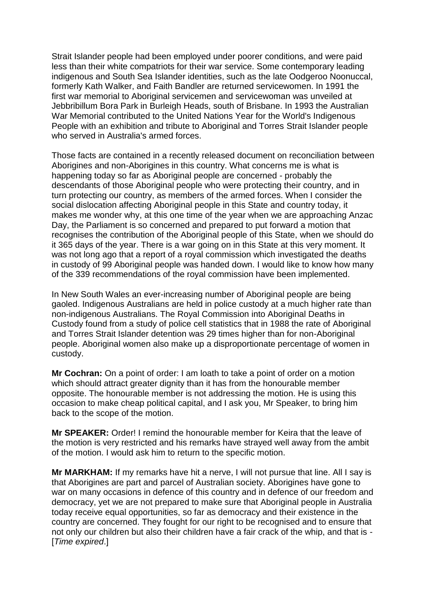Strait Islander people had been employed under poorer conditions, and were paid less than their white compatriots for their war service. Some contemporary leading indigenous and South Sea Islander identities, such as the late Oodgeroo Noonuccal, formerly Kath Walker, and Faith Bandler are returned servicewomen. In 1991 the first war memorial to Aboriginal servicemen and servicewoman was unveiled at Jebbribillum Bora Park in Burleigh Heads, south of Brisbane. In 1993 the Australian War Memorial contributed to the United Nations Year for the World's Indigenous People with an exhibition and tribute to Aboriginal and Torres Strait Islander people who served in Australia's armed forces.

Those facts are contained in a recently released document on reconciliation between Aborigines and non-Aborigines in this country. What concerns me is what is happening today so far as Aboriginal people are concerned - probably the descendants of those Aboriginal people who were protecting their country, and in turn protecting our country, as members of the armed forces. When I consider the social dislocation affecting Aboriginal people in this State and country today, it makes me wonder why, at this one time of the year when we are approaching Anzac Day, the Parliament is so concerned and prepared to put forward a motion that recognises the contribution of the Aboriginal people of this State, when we should do it 365 days of the year. There is a war going on in this State at this very moment. It was not long ago that a report of a royal commission which investigated the deaths in custody of 99 Aboriginal people was handed down. I would like to know how many of the 339 recommendations of the royal commission have been implemented.

In New South Wales an ever-increasing number of Aboriginal people are being gaoled. Indigenous Australians are held in police custody at a much higher rate than non-indigenous Australians. The Royal Commission into Aboriginal Deaths in Custody found from a study of police cell statistics that in 1988 the rate of Aboriginal and Torres Strait Islander detention was 29 times higher than for non-Aboriginal people. Aboriginal women also make up a disproportionate percentage of women in custody.

**Mr Cochran:** On a point of order: I am loath to take a point of order on a motion which should attract greater dignity than it has from the honourable member opposite. The honourable member is not addressing the motion. He is using this occasion to make cheap political capital, and I ask you, Mr Speaker, to bring him back to the scope of the motion.

**Mr SPEAKER:** Order! I remind the honourable member for Keira that the leave of the motion is very restricted and his remarks have strayed well away from the ambit of the motion. I would ask him to return to the specific motion.

**Mr MARKHAM:** If my remarks have hit a nerve, I will not pursue that line. All I say is that Aborigines are part and parcel of Australian society. Aborigines have gone to war on many occasions in defence of this country and in defence of our freedom and democracy, yet we are not prepared to make sure that Aboriginal people in Australia today receive equal opportunities, so far as democracy and their existence in the country are concerned. They fought for our right to be recognised and to ensure that not only our children but also their children have a fair crack of the whip, and that is - [*Time expired*.]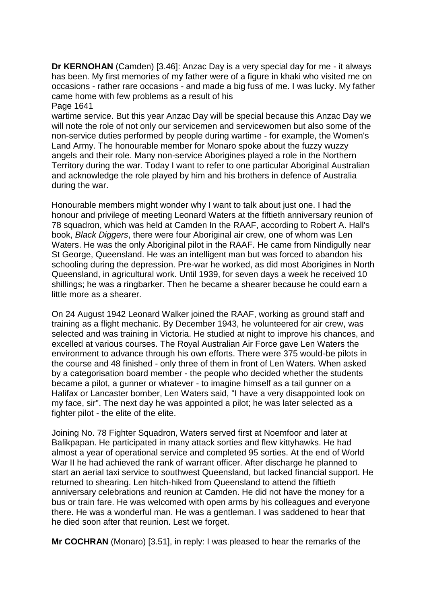**Dr KERNOHAN** (Camden) [3.46]: Anzac Day is a very special day for me - it always has been. My first memories of my father were of a figure in khaki who visited me on occasions - rather rare occasions - and made a big fuss of me. I was lucky. My father came home with few problems as a result of his

Page 1641

wartime service. But this year Anzac Day will be special because this Anzac Day we will note the role of not only our servicemen and servicewomen but also some of the non-service duties performed by people during wartime - for example, the Women's Land Army. The honourable member for Monaro spoke about the fuzzy wuzzy angels and their role. Many non-service Aborigines played a role in the Northern Territory during the war. Today I want to refer to one particular Aboriginal Australian and acknowledge the role played by him and his brothers in defence of Australia during the war.

Honourable members might wonder why I want to talk about just one. I had the honour and privilege of meeting Leonard Waters at the fiftieth anniversary reunion of 78 squadron, which was held at Camden In the RAAF, according to Robert A. Hall's book, *Black Diggers*, there were four Aboriginal air crew, one of whom was Len Waters. He was the only Aboriginal pilot in the RAAF. He came from Nindigully near St George, Queensland. He was an intelligent man but was forced to abandon his schooling during the depression. Pre-war he worked, as did most Aborigines in North Queensland, in agricultural work. Until 1939, for seven days a week he received 10 shillings; he was a ringbarker. Then he became a shearer because he could earn a little more as a shearer.

On 24 August 1942 Leonard Walker joined the RAAF, working as ground staff and training as a flight mechanic. By December 1943, he volunteered for air crew, was selected and was training in Victoria. He studied at night to improve his chances, and excelled at various courses. The Royal Australian Air Force gave Len Waters the environment to advance through his own efforts. There were 375 would-be pilots in the course and 48 finished - only three of them in front of Len Waters. When asked by a categorisation board member - the people who decided whether the students became a pilot, a gunner or whatever - to imagine himself as a tail gunner on a Halifax or Lancaster bomber, Len Waters said, "I have a very disappointed look on my face, sir". The next day he was appointed a pilot; he was later selected as a fighter pilot - the elite of the elite.

Joining No. 78 Fighter Squadron, Waters served first at Noemfoor and later at Balikpapan. He participated in many attack sorties and flew kittyhawks. He had almost a year of operational service and completed 95 sorties. At the end of World War II he had achieved the rank of warrant officer. After discharge he planned to start an aerial taxi service to southwest Queensland, but lacked financial support. He returned to shearing. Len hitch-hiked from Queensland to attend the fiftieth anniversary celebrations and reunion at Camden. He did not have the money for a bus or train fare. He was welcomed with open arms by his colleagues and everyone there. He was a wonderful man. He was a gentleman. I was saddened to hear that he died soon after that reunion. Lest we forget.

**Mr COCHRAN** (Monaro) [3.51], in reply: I was pleased to hear the remarks of the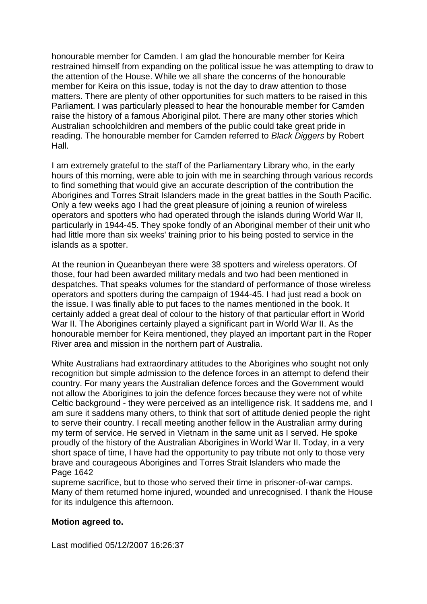honourable member for Camden. I am glad the honourable member for Keira restrained himself from expanding on the political issue he was attempting to draw to the attention of the House. While we all share the concerns of the honourable member for Keira on this issue, today is not the day to draw attention to those matters. There are plenty of other opportunities for such matters to be raised in this Parliament. I was particularly pleased to hear the honourable member for Camden raise the history of a famous Aboriginal pilot. There are many other stories which Australian schoolchildren and members of the public could take great pride in reading. The honourable member for Camden referred to *Black Diggers* by Robert Hall.

I am extremely grateful to the staff of the Parliamentary Library who, in the early hours of this morning, were able to join with me in searching through various records to find something that would give an accurate description of the contribution the Aborigines and Torres Strait Islanders made in the great battles in the South Pacific. Only a few weeks ago I had the great pleasure of joining a reunion of wireless operators and spotters who had operated through the islands during World War II, particularly in 1944-45. They spoke fondly of an Aboriginal member of their unit who had little more than six weeks' training prior to his being posted to service in the islands as a spotter.

At the reunion in Queanbeyan there were 38 spotters and wireless operators. Of those, four had been awarded military medals and two had been mentioned in despatches. That speaks volumes for the standard of performance of those wireless operators and spotters during the campaign of 1944-45. I had just read a book on the issue. I was finally able to put faces to the names mentioned in the book. It certainly added a great deal of colour to the history of that particular effort in World War II. The Aborigines certainly played a significant part in World War II. As the honourable member for Keira mentioned, they played an important part in the Roper River area and mission in the northern part of Australia.

White Australians had extraordinary attitudes to the Aborigines who sought not only recognition but simple admission to the defence forces in an attempt to defend their country. For many years the Australian defence forces and the Government would not allow the Aborigines to join the defence forces because they were not of white Celtic background - they were perceived as an intelligence risk. It saddens me, and I am sure it saddens many others, to think that sort of attitude denied people the right to serve their country. I recall meeting another fellow in the Australian army during my term of service. He served in Vietnam in the same unit as I served. He spoke proudly of the history of the Australian Aborigines in World War II. Today, in a very short space of time, I have had the opportunity to pay tribute not only to those very brave and courageous Aborigines and Torres Strait Islanders who made the Page 1642

supreme sacrifice, but to those who served their time in prisoner-of-war camps. Many of them returned home injured, wounded and unrecognised. I thank the House for its indulgence this afternoon.

### **Motion agreed to.**

Last modified 05/12/2007 16:26:37